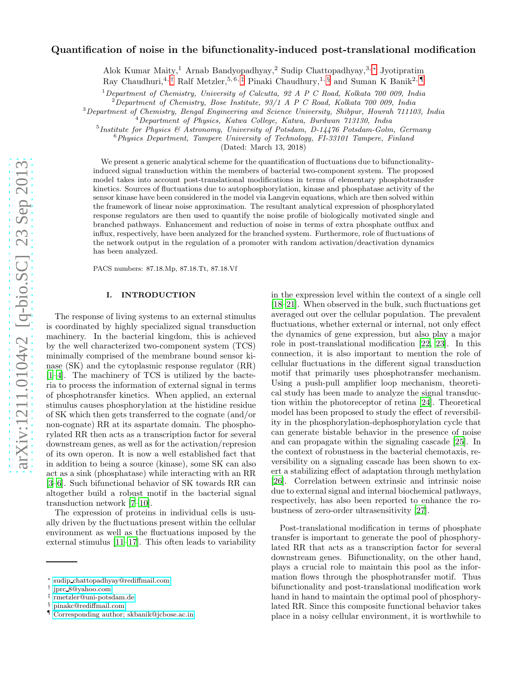# arXiv:1211.0104v2 [q-bio.SC] 23 Sep 2013 [arXiv:1211.0104v2 \[q-bio.SC\] 23 Sep 2013](http://arxiv.org/abs/1211.0104v2)

# Quantification of noise in the bifunctionality-induced post-translational modification

Alok Kumar Maity,<sup>1</sup> Arnab Bandyopadhyay,<sup>2</sup> Sudip Chattopadhyay,3, [∗](#page-0-0) Jyotipratim Ray Chaudhuri,<sup>4,[†](#page-0-1)</sup> Ralf Metzler,<sup>5,6,[‡](#page-0-2)</sup> Pinaki Chaudhury,<sup>1, [§](#page-0-3)</sup> and Suman K Banik<sup>2,[¶](#page-0-4)</sup>

<sup>1</sup>Department of Chemistry, University of Calcutta, 92 A P C Road, Kolkata 700 009, India

 $2$ Department of Chemistry, Bose Institute,  $93/1$  A P C Road, Kolkata  $700$  009, India

<sup>3</sup>Department of Chemistry, Bengal Engineering and Science University, Shibpur, Howrah 711103, India

<sup>4</sup>Department of Physics, Katwa College, Katwa, Burdwan 713130, India

<sup>5</sup> Institute for Physics & Astronomy, University of Potsdam, D-14476 Potsdam-Golm, Germany

 $6$ Physics Department, Tampere University of Technology, FI-33101 Tampere, Finland

(Dated: March 13, 2018)

We present a generic analytical scheme for the quantification of fluctuations due to bifunctionalityinduced signal transduction within the members of bacterial two-component system. The proposed model takes into account post-translational modifications in terms of elementary phosphotransfer kinetics. Sources of fluctuations due to autophosphorylation, kinase and phosphatase activity of the sensor kinase have been considered in the model via Langevin equations, which are then solved within the framework of linear noise approximation. The resultant analytical expression of phosphorylated response regulators are then used to quantify the noise profile of biologically motivated single and branched pathways. Enhancement and reduction of noise in terms of extra phosphate outflux and influx, respectively, have been analyzed for the branched system. Furthermore, role of fluctuations of the network output in the regulation of a promoter with random activation/deactivation dynamics has been analyzed.

PACS numbers: 87.18.Mp, 87.18.Tt, 87.18.Vf

### I. INTRODUCTION

The response of living systems to an external stimulus is coordinated by highly specialized signal transduction machinery. In the bacterial kingdom, this is achieved by the well characterized two-component system (TCS) minimally comprised of the membrane bound sensor kinase (SK) and the cytoplasmic response regulator (RR) [\[1](#page-6-0)[–4\]](#page-6-1). The machinery of TCS is utilized by the bacteria to process the information of external signal in terms of phosphotransfer kinetics. When applied, an external stimulus causes phosphorylation at the histidine residue of SK which then gets transferred to the cognate (and/or non-cognate) RR at its aspartate domain. The phosphorylated RR then acts as a transcription factor for several downstream genes, as well as for the activation/represion of its own operon. It is now a well established fact that in addition to being a source (kinase), some SK can also act as a sink (phosphatase) while interacting with an RR [\[3](#page-6-2)[–6\]](#page-6-3). Such bifunctional behavior of SK towards RR can altogether build a robust motif in the bacterial signal transduction network [\[7](#page-6-4)[–10\]](#page-6-5).

The expression of proteins in individual cells is usually driven by the fluctuations present within the cellular environment as well as the fluctuations imposed by the external stimulus [\[11](#page-6-6)[–17\]](#page-6-7). This often leads to variability

in the expression level within the context of a single cell [\[18](#page-6-8)[–21\]](#page-6-9). When observed in the bulk, such fluctuations get averaged out over the cellular population. The prevalent fluctuations, whether external or internal, not only effect the dynamics of gene expression, but also play a major role in post-translational modification [\[22](#page-6-10), [23](#page-6-11)]. In this connection, it is also important to mention the role of cellular fluctuations in the different signal transduction motif that primarily uses phosphotransfer mechanism. Using a push-pull amplifier loop mechanism, theoretical study has been made to analyze the signal transduction within the photoreceptor of retina [\[24\]](#page-6-12). Theoretical model has been proposed to study the effect of reversibility in the phosphorylation-dephosphorylation cycle that can generate bistable behavior in the presence of noise and can propagate within the signaling cascade [\[25](#page-6-13)]. In the context of robustness in the bacterial chemotaxis, reversibility on a signaling cascade has been shown to exert a stabilizing effect of adaptation through methylation [\[26\]](#page-6-14). Correlation between extrinsic and intrinsic noise due to external signal and internal biochemical pathways, respectively, has also been reported to enhance the robustness of zero-order ultrasensitivity [\[27\]](#page-6-15).

Post-translational modification in terms of phosphate transfer is important to generate the pool of phosphorylated RR that acts as a transcription factor for several downstream genes. Bifunctionality, on the other hand, plays a crucial role to maintain this pool as the information flows through the phosphotransfer motif. Thus bifunctionality and post-translational modification work hand in hand to maintain the optimal pool of phosphorylated RR. Since this composite functional behavior takes place in a noisy cellular environment, it is worthwhile to

<span id="page-0-0"></span><sup>∗</sup> sudip [chattopadhyay@rediffmail.com](mailto:sudip$_$chattopadhyay@rediffmail.com)

<span id="page-0-1"></span><sup>†</sup> jprc [8@yahoo.com](mailto:jprc$_$8@yahoo.com)

<span id="page-0-2"></span><sup>‡</sup> [rmetzler@uni-potsdam.de](mailto:rmetzler@uni-potsdam.de)

<span id="page-0-3"></span><sup>§</sup> [pinakc@rediffmail.com](mailto:pinakc@rediffmail.com)

<span id="page-0-4"></span><sup>¶</sup> [Corresponding author; skbanik@jcbose.ac.in](mailto:Corresponding author; skbanik@jcbose.ac.in)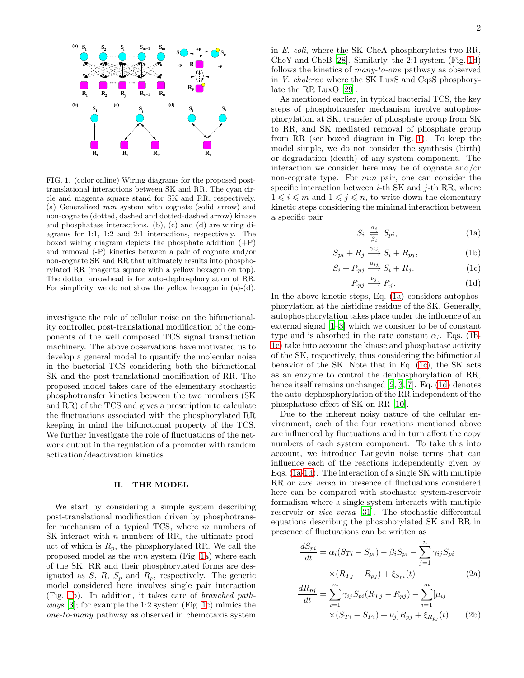

<span id="page-1-0"></span>FIG. 1. (color online) Wiring diagrams for the proposed posttranslational interactions between SK and RR. The cyan circle and magenta square stand for SK and RR, respectively. (a) Generalized  $m:n$  system with cognate (solid arrow) and non-cognate (dotted, dashed and dotted-dashed arrow) kinase and phosphatase interactions. (b), (c) and (d) are wiring diagrams for 1:1, 1:2 and 2:1 interactions, respectively. The boxed wiring diagram depicts the phosphate addition (+P) and removal (-P) kinetics between a pair of cognate and/or non-cognate SK and RR that ultimately results into phosphorylated RR (magenta square with a yellow hexagon on top). The dotted arrowhead is for auto-dephosphorylation of RR. For simplicity, we do not show the yellow hexagon in (a)-(d).

investigate the role of cellular noise on the bifunctionality controlled post-translational modification of the components of the well composed TCS signal transduction machinery. The above observations have motivated us to develop a general model to quantify the molecular noise in the bacterial TCS considering both the bifunctional SK and the post-translational modification of RR. The proposed model takes care of the elementary stochastic phosphotransfer kinetics between the two members (SK and RR) of the TCS and gives a prescription to calculate the fluctuations associated with the phosphorylated RR keeping in mind the bifunctional property of the TCS. We further investigate the role of fluctuations of the network output in the regulation of a promoter with random activation/deactivation kinetics.

### II. THE MODEL

We start by considering a simple system describing post-translational modification driven by phosphotransfer mechanism of a typical TCS, where  $m$  numbers of SK interact with *n* numbers of RR, the ultimate product of which is  $R_p$ , the phosphorylated RR. We call the proposed model as the  $m:n$  system (Fig. [1a](#page-1-0)) where each of the SK, RR and their phosphorylated forms are designated as  $S$ ,  $R$ ,  $S_p$  and  $R_p$ , respectively. The generic model considered here involves single pair interaction (Fig. [1b](#page-1-0)). In addition, it takes care of branched path*ways* [\[3\]](#page-6-2); for example the 1:2 system (Fig. [1c](#page-1-0)) mimics the one-to-many pathway as observed in chemotaxis system in E. coli, where the SK CheA phosphorylates two RR, CheY and CheB [\[28](#page-6-16)]. Similarly, the 2:1 system (Fig. [1d](#page-1-0)) follows the kinetics of many-to-one pathway as observed in V. cholerae where the SK LuxS and CqsS phosphorylate the RR LuxO [\[29](#page-6-17)].

As mentioned earlier, in typical bacterial TCS, the key steps of phosphotransfer mechanism involve autophosphorylation at SK, transfer of phosphate group from SK to RR, and SK mediated removal of phosphate group from RR (see boxed diagram in Fig. [1\)](#page-1-0). To keep the model simple, we do not consider the synthesis (birth) or degradation (death) of any system component. The interaction we consider here may be of cognate and/or non-cognate type. For  $m:n$  pair, one can consider the specific interaction between  $i$ -th SK and  $j$ -th RR, where  $1 \leq i \leq m$  and  $1 \leq j \leq n$ , to write down the elementary kinetic steps considering the minimal interaction between a specific pair

<span id="page-1-1"></span>
$$
S_i \underset{\beta_i}{\overset{\alpha_i}{\rightleftharpoons}} S_{pi}, \tag{1a}
$$

$$
S_{pi} + R_j \xrightarrow{\gamma_{ij}} S_i + R_{pj}, \tag{1b}
$$

$$
S_i + R_{pj} \xrightarrow{\mu_{ij}} S_i + R_j. \tag{1c}
$$

$$
R_{pj} \xrightarrow{\nu_j} R_j. \tag{1d}
$$

In the above kinetic steps, Eq. [\(1a\)](#page-1-1) considers autophosphorylation at the histidine residue of the SK. Generally, autophosphorylation takes place under the influence of an external signal [\[1](#page-6-0)[–3](#page-6-2)] which we consider to be of constant type and is absorbed in the rate constant  $\alpha_i$ . Eqs. [\(1b-](#page-1-1)[1c\)](#page-1-1) take into account the kinase and phosphatase activity of the SK, respectively, thus considering the bifunctional behavior of the SK. Note that in Eq. [\(1c\)](#page-1-1), the SK acts as an enzyme to control the dephosphorylation of RR, hence itself remains unchanged [\[2,](#page-6-18) [3,](#page-6-2) [7](#page-6-4)]. Eq. [\(1d\)](#page-1-1) denotes the auto-dephosphorylation of the RR independent of the phosphatase effect of SK on RR [\[10](#page-6-5)].

Due to the inherent noisy nature of the cellular environment, each of the four reactions mentioned above are influenced by fluctuations and in turn affect the copy numbers of each system component. To take this into account, we introduce Langevin noise terms that can influence each of the reactions independently given by Eqs. [\(1a-1d\)](#page-1-1). The interaction of a single SK with multiple RR or vice versa in presence of fluctuations considered here can be compared with stochastic system-reservoir formalism where a single system interacts with multiple reservoir or vice versa [\[31\]](#page-6-19). The stochastic differential equations describing the phosphorylated SK and RR in presence of fluctuations can be written as

<span id="page-1-2"></span>
$$
\frac{dS_{pi}}{dt} = \alpha_i (S_{Ti} - S_{pi}) - \beta_i S_{pi} - \sum_{j=1}^n \gamma_{ij} S_{pi}
$$

$$
\times (R_{Tj} - R_{pj}) + \xi_{S_{pi}}(t) \tag{2a}
$$

$$
\frac{dR_{pj}}{dt} = \sum_{j=1}^m \gamma_{ij} S_{ni} (R_{Ti} - R_{pi}) - \sum_{j=1}^m \mu_{ij}
$$

$$
\frac{N_{\text{top}}}{dt} = \sum_{i=1} \gamma_{ij} S_{pi} (R_{Tj} - R_{pj}) - \sum_{i=1} [\mu_{ij} \times (S_{Ti} - S_{Pi}) + \nu_j] R_{pj} + \xi_{R_{pj}}(t). \tag{2b}
$$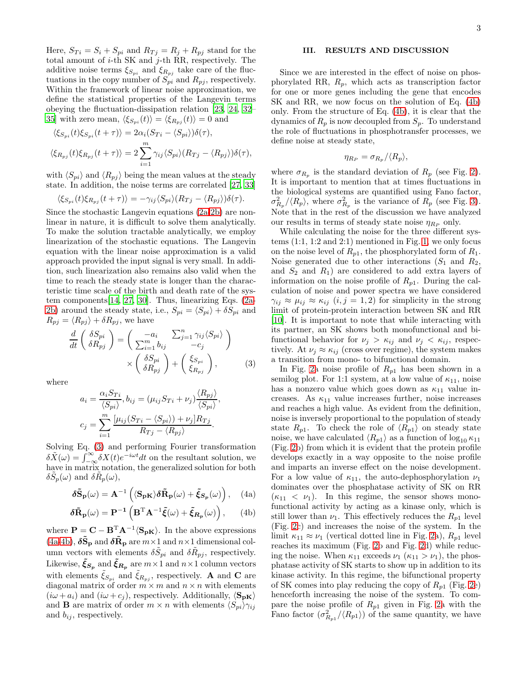Here,  $S_{Ti} = S_i + S_{pi}$  and  $R_{Tj} = R_j + R_{pj}$  stand for the total amount of  $i$ -th SK and  $j$ -th RR, respectively. The additive noise terms  $\xi_{S_{pi}}$  and  $\xi_{R_{pi}}$  take care of the fluctuations in the copy number of  $S_{pi}$  and  $R_{pj}$ , respectively. Within the framework of linear noise approximation, we define the statistical properties of the Langevin terms obeying the fluctuation-dissipation relation [\[23,](#page-6-11) [24](#page-6-12), [32](#page-6-20)– [35\]](#page-6-21) with zero mean,  $\langle \xi_{S_{pi}} (t) \rangle = \langle \xi_{R_{pi}} (t) \rangle = 0$  and

$$
\langle \xi_{S_{pi}}(t)\xi_{S_{pi}}(t+\tau) \rangle = 2\alpha_i (S_{Ti} - \langle S_{pi} \rangle) \delta(\tau),
$$
  

$$
\langle \xi_{R_{pj}}(t)\xi_{R_{pj}}(t+\tau) \rangle = 2 \sum_{i=1}^m \gamma_{ij} \langle S_{pi} \rangle (R_{Tj} - \langle R_{pj} \rangle) \delta(\tau),
$$

with  $\langle S_{ni} \rangle$  and  $\langle R_{ni} \rangle$  being the mean values at the steady state. In addition, the noise terms are correlated [\[27,](#page-6-15) [33](#page-6-22)]

$$
\langle \xi_{S_{pi}}(t)\xi_{R_{pj}}(t+\tau)\rangle = -\gamma_{ij}\langle S_{pi}\rangle(R_{Tj}-\langle R_{pj}\rangle)\delta(\tau).
$$

Since the stochastic Langevin equations [\(2a-2b\)](#page-1-2) are nonlinear in nature, it is difficult to solve them analytically. To make the solution tractable analytically, we employ linearization of the stochastic equations. The Langevin equation with the linear noise approximation is a valid approach provided the input signal is very small. In addition, such linearization also remains also valid when the time to reach the steady state is longer than the characteristic time scale of the birth and death rate of the system components[\[14,](#page-6-23) [27,](#page-6-15) [30](#page-6-24)]. Thus, linearizing Eqs. [\(2a-](#page-1-2)[2b\)](#page-1-2) around the steady state, i.e.,  $S_{pi} = \langle S_{pi} \rangle + \delta S_{pi}$  and  $R_{pj} = \langle R_{pj} \rangle + \delta R_{pj}$ , we have

<span id="page-2-0"></span>
$$
\frac{d}{dt}\begin{pmatrix} \delta S_{pi} \\ \delta R_{pj} \end{pmatrix} = \begin{pmatrix} -a_i & \sum_{j=1}^n \gamma_{ij} \langle S_{pi} \rangle \\ \sum_{i=1}^m b_{ij} & -c_j \end{pmatrix}
$$

$$
\times \begin{pmatrix} \delta S_{pi} \\ \delta R_{pj} \end{pmatrix} + \begin{pmatrix} \xi_{S_{pi}} \\ \xi_{R_{pj}} \end{pmatrix},
$$
(3)

where

$$
a_i = \frac{\alpha_i S_{Ti}}{\langle S_{pi} \rangle}, b_{ij} = (\mu_{ij} S_{Ti} + \nu_j) \frac{\langle R_{pj} \rangle}{\langle S_{pi} \rangle},
$$
  

$$
c_j = \sum_{i=1}^m \frac{[\mu_{ij} (S_{Ti} - \langle S_{pi} \rangle) + \nu_j] R_{Tj}}{R_{Tj} - \langle R_{pj} \rangle}.
$$

Solving Eq. [\(3\)](#page-2-0) and performing Fourier transformation  $\delta \tilde{X}(\omega) = \int_{-\infty}^{\infty} \delta X(t) e^{-i\omega t} dt$  on the resultant solution, we have in matrix notation, the generalized solution for both  $\delta \tilde{S}_p(\omega)$  and  $\delta \tilde{R}_p(\omega)$ ,

<span id="page-2-1"></span>
$$
\delta \tilde{\mathbf{S}}_{\mathbf{p}}(\omega) = \mathbf{A}^{-1} \left( \langle \mathbf{S}_{\mathbf{p} \mathbf{K}} \rangle \delta \tilde{\mathbf{R}}_{\mathbf{p}}(\omega) + \tilde{\xi}_{\mathbf{S}_{\mathbf{p}}}(\omega) \right), \quad (4a)
$$

$$
\delta \tilde{\mathbf{R}}_{\mathbf{p}}(\omega) = \mathbf{P}^{-1} \left( \mathbf{B}^{\mathrm{T}} \mathbf{A}^{-1} \tilde{\xi}(\omega) + \tilde{\xi}_{\mathbf{R}_{\mathbf{p}}}(\omega) \right), \qquad (4b)
$$

where  $\mathbf{P} = \mathbf{C} - \mathbf{B}^{\mathrm{T}} \mathbf{A}^{-1} \langle \mathbf{S}_{\mathbf{p}\mathbf{K}} \rangle$ . In the above expressions [\(4a-4b\)](#page-2-1),  $\delta \tilde{S}_{\bf p}$  and  $\delta \tilde{R}_{\bf p}$  are  $m\times 1$  and  $n\times 1$  dimensional column vectors with elements  $\delta \tilde{S}_{pi}$  and  $\delta \tilde{R}_{pj}$ , respectively. Likewise,  $\tilde{\xi}_{S_p}$  and  $\tilde{\xi}_{R_p}$  are  $m \times 1$  and  $n \times 1$  column vectors with elements  $\xi_{S_{pi}}$  and  $\xi_{R_{pj}}$ , respectively. **A** and **C** are diagonal matrix of order  $m \times m$  and  $n \times n$  with elements  $(i\omega + a_i)$  and  $(i\omega + c_j)$ , respectively. Additionally,  $\langle S_{\rm pK} \rangle$ and **B** are matrix of order  $m \times n$  with elements  $\langle S_{pi} \rangle_{\gamma_{ij}}$ and  $b_{ij}$ , respectively.

# III. RESULTS AND DISCUSSION

Since we are interested in the effect of noise on phosphorylated RR,  $R_p$ , which acts as transcription factor for one or more genes including the gene that encodes SK and RR, we now focus on the solution of Eq. [\(4b\)](#page-2-1) only. From the structure of Eq. [\(4b\)](#page-2-1), it is clear that the dynamics of  $R_p$  is now decoupled from  $S_p$ . To understand the role of fluctuations in phosphotransfer processes, we define noise at steady state,

$$
\eta_{R_P} = \sigma_{R_p} / \langle R_p \rangle,
$$

where  $\sigma_{R_p}$  is the standard deviation of  $R_p$  (see Fig. [2\)](#page-3-0). It is important to mention that at times fluctuations in the biological systems are quantified using Fano factor,  $\sigma_{R_p}^2/\langle R_p \rangle$ , where  $\sigma_{R_p}^2$  is the variance of  $R_p$  (see Fig. [3\)](#page-3-1). Note that in the rest of the discussion we have analyzed our results in terms of steady state noise  $\eta_{R_P}$  only.

While calculating the noise for the three different systems (1:1, 1:2 and 2:1) mentioned in Fig. [1,](#page-1-0) we only focus on the noise level of  $R_{p1}$ , the phosphorylated form of  $R_1$ . Noise generated due to other interactions  $(S_1 \text{ and } R_2,$ and  $S_2$  and  $R_1$ ) are considered to add extra layers of information on the noise profile of  $R_{p1}$ . During the calculation of noise and power spectra we have considered  $\gamma_{ij} \approx \mu_{ij} \approx \kappa_{ij}$   $(i, j = 1, 2)$  for simplicity in the strong limit of protein-protein interaction between SK and RR [\[10\]](#page-6-5). It is important to note that while interacting with its partner, an SK shows both monofunctional and bifunctional behavior for  $\nu_i > \kappa_{ij}$  and  $\nu_i < \kappa_{ij}$ , respectively. At  $\nu_j \approx \kappa_{ij}$  (cross over regime), the system makes a transition from mono- to bifunctional domain.

In Fig. [2a](#page-3-0) noise profile of  $R_{p1}$  has been shown in a semilog plot. For 1:1 system, at a low value of  $\kappa_{11}$ , noise has a nonzero value which goes down as  $\kappa_{11}$  value increases. As  $\kappa_{11}$  value increases further, noise increases and reaches a high value. As evident from the definition, noise is inversely proportional to the population of steady state  $R_{p1}$ . To check the role of  $\langle R_{p1} \rangle$  on steady state noise, we have calculated  $\langle R_{p1} \rangle$  as a function of log<sub>10</sub>  $\kappa_{11}$ (Fig. [2b](#page-3-0)) from which it is evident that the protein profile develops exactly in a way opposite to the noise profile and imparts an inverse effect on the noise development. For a low value of  $\kappa_{11}$ , the auto-dephosphorylation  $\nu_1$ dominates over the phosphatase activity of SK on RR  $(\kappa_{11} < \nu_1)$ . In this regime, the sensor shows monofunctional activity by acting as a kinase only, which is still lower than  $\nu_1$ . This effectively reduces the  $R_{p1}$  level (Fig. [2c](#page-3-0)) and increases the noise of the system. In the limit  $\kappa_{11} \approx \nu_1$  (vertical dotted line in Fig. [2a](#page-3-0)),  $R_{p1}$  level reaches its maximum (Fig. [2b](#page-3-0) and Fig. [2d](#page-3-0)) while reducing the noise. When  $\kappa_{11}$  exceeds  $\nu_1$  ( $\kappa_{11} > \nu_1$ ), the phosphatase activity of SK starts to show up in addition to its kinase activity. In this regime, the bifunctional property of SK comes into play reducing the copy of  $R_{p1}$  (Fig. [2e](#page-3-0)) henceforth increasing the noise of the system. To compare the noise profile of  $R_{p1}$  given in Fig. [2a](#page-3-0) with the Fano factor  $(\sigma_{R_{p1}}^2/\langle R_{p1} \rangle)$  of the same quantity, we have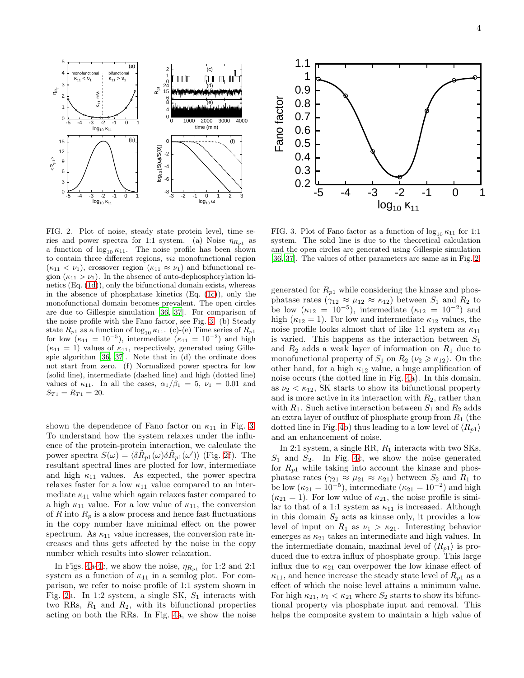

<span id="page-3-0"></span>FIG. 2. Plot of noise, steady state protein level, time series and power spectra for 1:1 system. (a) Noise  $\eta_{R_{n1}}$  as a function of  $\log_{10} \kappa_{11}$ . The noise profile has been shown to contain three different regions, viz monofunctional region  $(\kappa_{11} < \nu_1)$ , crossover region  $(\kappa_{11} \approx \nu_1)$  and bifunctional region  $(\kappa_{11} > \nu_1)$ . In the absence of auto-dephosphorylation kinetics (Eq. [\(1d\)](#page-1-1)), only the bifunctional domain exists, whereas in the absence of phosphatase kinetics (Eq. [\(1c\)](#page-1-1)), only the monofunctional domain becomes prevalent. The open circles are due to Gillespie simulation [\[36,](#page-6-25) [37\]](#page-6-26). For comparison of the noise profile with the Fano factor, see Fig. [3.](#page-3-1) (b) Steady state  $R_{p1}$  as a function of  $\log_{10} \kappa_{11}$ . (c)-(e) Time series of  $R_{p1}$ for low  $(\kappa_{11} = 10^{-5})$ , intermediate  $(\kappa_{11} = 10^{-2})$  and high  $(\kappa_{11} = 1)$  values of  $\kappa_{11}$ , respectively, generated using Gillespie algorithm [\[36](#page-6-25), [37\]](#page-6-26). Note that in (d) the ordinate does not start from zero. (f) Normalized power spectra for low (solid line), intermediate (dashed line) and high (dotted line) values of  $\kappa_{11}$ . In all the cases,  $\alpha_1/\beta_1 = 5$ ,  $\nu_1 = 0.01$  and  $S_{T1} = R_{T1} = 20.$ 

shown the dependence of Fano factor on  $\kappa_{11}$  in Fig. [3.](#page-3-1) To understand how the system relaxes under the influence of the protein-protein interaction, we calculate the power spectra  $S(\omega) = \langle \delta \tilde{R}_{p1}(\omega) \delta \tilde{R}_{p1}(\omega') \rangle$  (Fig. [2f](#page-3-0)). The resultant spectral lines are plotted for low, intermediate and high  $\kappa_{11}$  values. As expected, the power spectra relaxes faster for a low  $\kappa_{11}$  value compared to an intermediate  $\kappa_{11}$  value which again relaxes faster compared to a high  $\kappa_{11}$  value. For a low value of  $\kappa_{11}$ , the conversion of R into  $R_p$  is a slow process and hence fast fluctuations in the copy number have minimal effect on the power spectrum. As  $\kappa_{11}$  value increases, the conversion rate increases and thus gets affected by the noise in the copy number which results into slower relaxation.

In Figs. [4a-4c](#page-4-0), we show the noise,  $\eta_{R_{p1}}$  for 1:2 and 2:1 system as a function of  $\kappa_{11}$  in a semilog plot. For comparison, we refer to noise profile of 1:1 system shown in Fig. [2a](#page-3-0). In 1:2 system, a single SK,  $S_1$  interacts with two RRs,  $R_1$  and  $R_2$ , with its bifunctional properties acting on both the RRs. In Fig. [4a](#page-4-0), we show the noise



<span id="page-3-1"></span>FIG. 3. Plot of Fano factor as a function of  $\log_{10} \kappa_{11}$  for 1:1 system. The solid line is due to the theoretical calculation and the open circles are generated using Gillespie simulation [\[36,](#page-6-25) [37](#page-6-26)]. The values of other parameters are same as in Fig. [2.](#page-3-0)

generated for  $R_{p1}$  while considering the kinase and phosphatase rates  $(\gamma_{12} \approx \mu_{12} \approx \kappa_{12})$  between  $S_1$  and  $R_2$  to be low  $(\kappa_{12} = 10^{-5})$ , intermediate  $(\kappa_{12} = 10^{-2})$  and high ( $\kappa_{12} = 1$ ). For low and intermediate  $\kappa_{12}$  values, the noise profile looks almost that of like 1:1 system as  $\kappa_{11}$ is varied. This happens as the interaction between  $S_1$ and  $R_2$  adds a weak layer of information on  $R_1$  due to monofunctional property of  $S_1$  on  $R_2$  ( $\nu_2 \geq \kappa_{12}$ ). On the other hand, for a high  $\kappa_{12}$  value, a huge amplification of noise occurs (the dotted line in Fig. [4a](#page-4-0)). In this domain, as  $\nu_2 < \kappa_{12}$ , SK starts to show its bifunctional property and is more active in its interaction with  $R_2$ , rather than with  $R_1$ . Such active interaction between  $S_1$  and  $R_2$  adds an extra layer of outflux of phosphate group from  $R_1$  (the dotted line in Fig. [4b](#page-4-0)) thus leading to a low level of  $\langle R_{p1} \rangle$ and an enhancement of noise.

In 2:1 system, a single RR,  $R_1$  interacts with two SKs,  $S_1$  and  $S_2$ . In Fig. [4c](#page-4-0), we show the noise generated for  $R_{p1}$  while taking into account the kinase and phosphatase rates ( $\gamma_{21} \approx \mu_{21} \approx \kappa_{21}$ ) between  $S_2$  and  $R_1$  to be low  $(\kappa_{21} = 10^{-5})$ , intermediate  $(\kappa_{21} = 10^{-2})$  and high  $(\kappa_{21} = 1)$ . For low value of  $\kappa_{21}$ , the noise profile is similar to that of a 1:1 system as  $\kappa_{11}$  is increased. Although in this domain  $S_2$  acts as kinase only, it provides a low level of input on  $R_1$  as  $\nu_1 > \kappa_{21}$ . Interesting behavior emerges as  $\kappa_{21}$  takes an intermediate and high values. In the intermediate domain, maximal level of  $\langle R_{p1} \rangle$  is produced due to extra influx of phosphate group. This large influx due to  $\kappa_{21}$  can overpower the low kinase effect of  $\kappa_{11}$ , and hence increase the steady state level of  $R_{p1}$  as a effect of which the noise level attains a minimum value. For high  $\kappa_{21}, \nu_1 < \kappa_{21}$  where  $S_2$  starts to show its bifunctional property via phosphate input and removal. This helps the composite system to maintain a high value of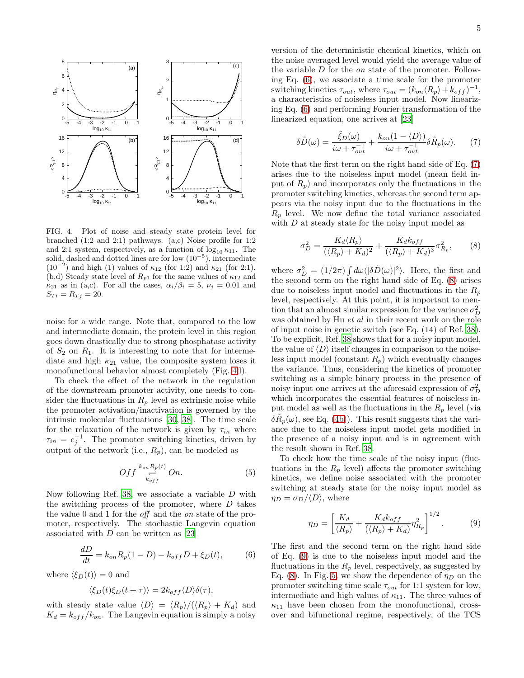

<span id="page-4-0"></span>FIG. 4. Plot of noise and steady state protein level for branched (1:2 and 2:1) pathways. (a,c) Noise profile for 1:2 and 2:1 system, respectively, as a function of  $\log_{10} \kappa_{11}$ . The solid, dashed and dotted lines are for low  $(10^{-5})$ , intermediate  $(10^{-2})$  and high (1) values of  $\kappa_{12}$  (for 1:2) and  $\kappa_{21}$  (for 2:1). (b,d) Steady state level of  $R_{p1}$  for the same values of  $\kappa_{12}$  and  $\kappa_{21}$  as in (a,c). For all the cases,  $\alpha_i/\beta_i = 5$ ,  $\nu_j = 0.01$  and  $S_{Ti} = R_{Tj} = 20.$ 

noise for a wide range. Note that, compared to the low and intermediate domain, the protein level in this region goes down drastically due to strong phosphatase activity of  $S_2$  on  $R_1$ . It is interesting to note that for intermediate and high  $\kappa_{21}$  value, the composite system loses it monofunctional behavior almost completely (Fig. [4d](#page-4-0)).

To check the effect of the network in the regulation of the downstream promoter activity, one needs to consider the fluctuations in  $R_p$  level as extrinsic noise while the promoter activation/inactivation is governed by the intrinsic molecular fluctuations [\[30,](#page-6-24) [38\]](#page-6-27). The time scale for the relaxation of the network is given by  $\tau_{in}$  where  $\tau_{in} = c_j^{-1}$ . The promoter switching kinetics, driven by output of the network (i.e.,  $R_p$ ), can be modeled as

$$
Off \overset{k_{on}R_p(t)}{\underset{k_{off}}{\rightleftharpoons}} On.
$$
 (5)

Now following Ref. [38,](#page-6-27) we associate a variable D with the switching process of the promoter, where  $D$  takes the value 0 and 1 for the off and the on state of the promoter, respectively. The stochastic Langevin equation associated with  $D$  can be written as [\[23\]](#page-6-11)

<span id="page-4-1"></span>
$$
\frac{dD}{dt} = k_{on}R_p(1 - D) - k_{off}D + \xi_D(t),\tag{6}
$$

where  $\langle \xi_D(t) \rangle = 0$  and

$$
\langle \xi_D(t)\xi_D(t+\tau) \rangle = 2k_{off} \langle D \rangle \delta(\tau),
$$

with steady state value  $\langle D \rangle = \langle R_p \rangle / (\langle R_p \rangle + K_d)$  and  $K_d = k_{off}/k_{on}$ . The Langevin equation is simply a noisy

version of the deterministic chemical kinetics, which on the noise averaged level would yield the average value of the variable D for the on state of the promoter. Following Eq. [\(6\)](#page-4-1), we associate a time scale for the promoter switching kinetics  $\tau_{out}$ , where  $\tau_{out} = (k_{on} \langle R_p \rangle + k_{off})^{-1}$ , a characteristics of noiseless input model. Now linearizing Eq. [\(6\)](#page-4-1) and performing Fourier transformation of the linearized equation, one arrives at [\[23\]](#page-6-11)

<span id="page-4-2"></span>
$$
\delta\tilde{D}(\omega) = \frac{\tilde{\xi}_D(\omega)}{i\omega + \tau_{out}^{-1}} + \frac{k_{on}(1 - \langle D \rangle)}{i\omega + \tau_{out}^{-1}} \delta\tilde{R}_p(\omega).
$$
 (7)

Note that the first term on the right hand side of Eq. [\(7\)](#page-4-2) arises due to the noiseless input model (mean field input of  $R_p$ ) and incorporates only the fluctuations in the promoter switching kinetics, whereas the second term appears via the noisy input due to the fluctuations in the  $R_p$  level. We now define the total variance associated with D at steady state for the noisy input model as

<span id="page-4-3"></span>
$$
\sigma_D^2 = \frac{K_d \langle R_p \rangle}{(\langle R_p \rangle + K_d)^2} + \frac{K_d k_{off}}{(\langle R_p \rangle + K_d)^3} \sigma_{R_p}^2, \tag{8}
$$

where  $\sigma_D^2 = (1/2\pi) \int d\omega \langle |\delta \tilde{D}(\omega)|^2 \rangle$ . Here, the first and the second term on the right hand side of Eq. [\(8\)](#page-4-3) arises due to noiseless input model and fluctuations in the  $R_p$ level, respectively. At this point, it is important to mention that an almost similar expression for the variance  $\sigma_D^2$ was obtained by Hu et al in their recent work on the role of input noise in genetic switch (see Eq. (14) of Ref. [38\)](#page-6-27). To be explicit, Ref. [38](#page-6-27) shows that for a noisy input model, the value of  $\langle D \rangle$  itself changes in comparison to the noiseless input model (constant  $R_p$ ) which eventually changes the variance. Thus, considering the kinetics of promoter switching as a simple binary process in the presence of noisy input one arrives at the aforesaid expression of  $\sigma_D^2$ which incorporates the essential features of noiseless input model as well as the fluctuations in the  $R_p$  level (via  $\delta \tilde{R}_p(\omega)$ , see Eq. [\(4b\)](#page-2-1)). This result suggests that the variance due to the noiseless input model gets modified in the presence of a noisy input and is in agreement with the result shown in Ref. [38.](#page-6-27)

To check how the time scale of the noisy input (fluctuations in the  $R_p$  level) affects the promoter switching kinetics, we define noise associated with the promoter switching at steady state for the noisy input model as  $\eta_D = \sigma_D/\langle D \rangle$ , where

<span id="page-4-4"></span>
$$
\eta_D = \left[\frac{K_d}{\langle R_p \rangle} + \frac{K_d k_{off}}{(\langle R_p \rangle + K_d)} \eta_{R_p}^2\right]^{1/2}.
$$
 (9)

The first and the second term on the right hand side of Eq. [\(9\)](#page-4-4) is due to the noiseless input model and the fluctuations in the  $R_p$  level, respectively, as suggested by Eq. [\(8\)](#page-4-3). In Fig. [5,](#page-5-0) we show the dependence of  $\eta_D$  on the promoter switching time scale  $\tau_{out}$  for 1:1 system for low, intermediate and high values of  $\kappa_{11}$ . The three values of  $\kappa_{11}$  have been chosen from the monofunctional, crossover and bifunctional regime, respectively, of the TCS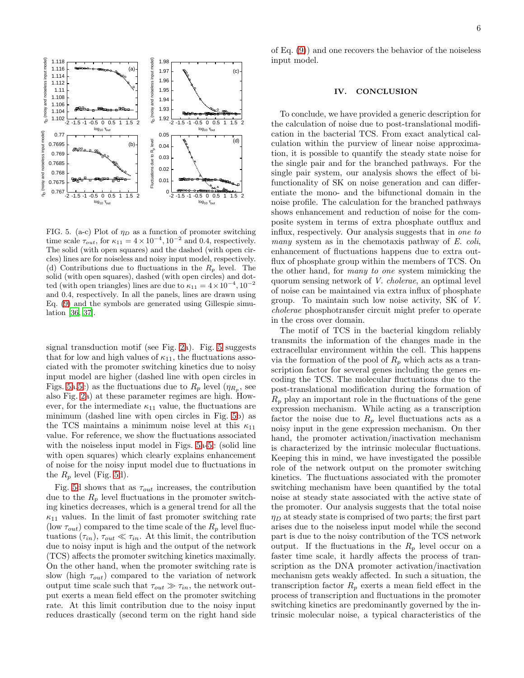

<span id="page-5-0"></span>FIG. 5. (a-c) Plot of  $\eta_D$  as a function of promoter switching time scale  $\tau_{out}$ , for  $\kappa_{11} = 4 \times 10^{-4}$ ,  $10^{-2}$  and 0.4, respectively. The solid (with open squares) and the dashed (with open circles) lines are for noiseless and noisy input model, respectively. (d) Contributions due to fluctuations in the  $R_p$  level. The solid (with open squares), dashed (with open circles) and dotted (with open triangles) lines are due to  $\kappa_{11} = 4 \times 10^{-4}$ ,  $10^{-2}$ and 0.4, respectively. In all the panels, lines are drawn using Eq. [\(9\)](#page-4-4) and the symbols are generated using Gillespie simulation [\[36,](#page-6-25) [37\]](#page-6-26).

signal transduction motif (see Fig. [2a](#page-3-0)). Fig. [5](#page-5-0) suggests that for low and high values of  $\kappa_{11}$ , the fluctuations associated with the promoter switching kinetics due to noisy input model are higher (dashed line with open circles in Figs. [5a,5c](#page-5-0)) as the fluctuations due to  $R_p$  level  $(\eta_{R_p},$  see also Fig. [2a](#page-3-0)) at these parameter regimes are high. However, for the intermediate  $\kappa_{11}$  value, the fluctuations are minimum (dashed line with open circles in Fig. [5b](#page-5-0)) as the TCS maintains a minimum noise level at this  $\kappa_{11}$ value. For reference, we show the fluctuations associated with the noiseless input model in Figs. [5a-5c](#page-5-0) (solid line with open squares) which clearly explains enhancement of noise for the noisy input model due to fluctuations in the  $R_p$  level (Fig. [5d](#page-5-0)).

Fig. [5d](#page-5-0) shows that as  $\tau_{out}$  increases, the contribution due to the  $R_p$  level fluctuations in the promoter switching kinetics decreases, which is a general trend for all the  $\kappa_{11}$  values. In the limit of fast promoter switching rate (low  $\tau_{out}$ ) compared to the time scale of the  $R_p$  level fluctuations  $(\tau_{in}), \tau_{out} \ll \tau_{in}$ . At this limit, the contribution due to noisy input is high and the output of the network (TCS) affects the promoter switching kinetics maximally. On the other hand, when the promoter switching rate is slow (high  $\tau_{out}$ ) compared to the variation of network output time scale such that  $\tau_{out} \gg \tau_{in}$ , the network output exerts a mean field effect on the promoter switching rate. At this limit contribution due to the noisy input reduces drastically (second term on the right hand side

of Eq. [\(9\)](#page-4-4)) and one recovers the behavior of the noiseless input model.

### IV. CONCLUSION

To conclude, we have provided a generic description for the calculation of noise due to post-translational modification in the bacterial TCS. From exact analytical calculation within the purview of linear noise approximation, it is possible to quantify the steady state noise for the single pair and for the branched pathways. For the single pair system, our analysis shows the effect of bifunctionality of SK on noise generation and can differentiate the mono- and the bifunctional domain in the noise profile. The calculation for the branched pathways shows enhancement and reduction of noise for the composite system in terms of extra phosphate outflux and influx, respectively. Our analysis suggests that in one to many system as in the chemotaxis pathway of E. coli. enhancement of fluctuations happens due to extra outflux of phosphate group within the members of TCS. On the other hand, for many to one system mimicking the quorum sensing network of V. cholerae, an optimal level of noise can be maintained via extra influx of phosphate group. To maintain such low noise activity, SK of V. cholerae phosphotransfer circuit might prefer to operate in the cross over domain.

The motif of TCS in the bacterial kingdom reliably transmits the information of the changes made in the extracellular environment within the cell. This happens via the formation of the pool of  $R_p$  which acts as a transcription factor for several genes including the genes encoding the TCS. The molecular fluctuations due to the post-translational modification during the formation of  $R_p$  play an important role in the fluctuations of the gene expression mechanism. While acting as a transcription factor the noise due to  $R_p$  level fluctuations acts as a noisy input in the gene expression mechanism. On ther hand, the promoter activation/inactivation mechanism is characterized by the intrinsic molecular fluctuations. Keeping this in mind, we have investigated the possible role of the network output on the promoter switching kinetics. The fluctuations associated with the promoter switching mechanism have been quantified by the total noise at steady state associated with the active state of the promoter. Our analysis suggests that the total noise  $\eta_D$  at steady state is comprised of two parts; the first part arises due to the noiseless input model while the second part is due to the noisy contribution of the TCS network output. If the fluctuations in the  $R_p$  level occur on a faster time scale, it hardly affects the process of transcription as the DNA promoter activation/inactivation mechanism gets weakly affected. In such a situation, the transcription factor  $R_p$  exerts a mean field effect in the process of transcription and fluctuations in the promoter switching kinetics are predominantly governed by the intrinsic molecular noise, a typical characteristics of the